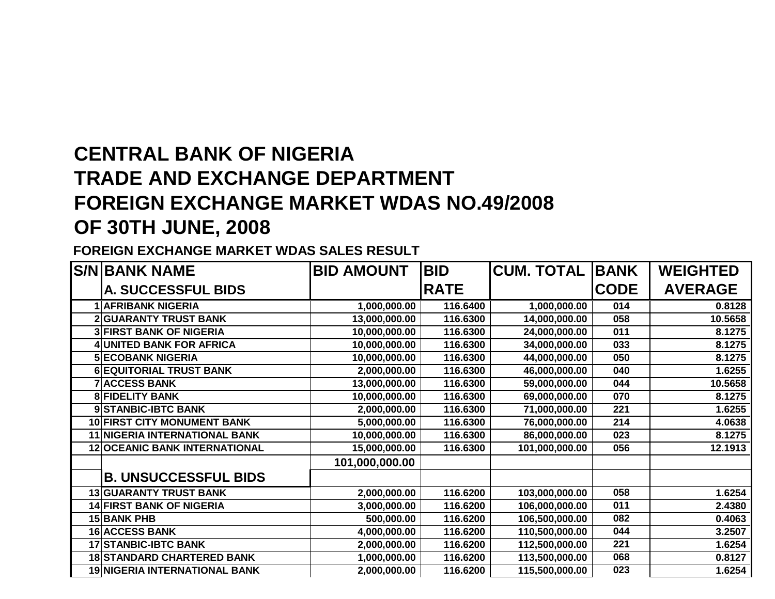## **CENTRAL BANK OF NIGERIA TRADE AND EXCHANGE DEPARTMENT FOREIGN EXCHANGE MARKET WDAS NO.49/2008OF 30TH JUNE, 2008**

**FOREIGN EXCHANGE MARKET WDAS SALES RESULT**

| <b>S/NIBANK NAME</b>                 | <b>BID AMOUNT</b> | <b>BID</b>  | <b>CUM. TOTAL</b> | <b>BANK</b> | <b>WEIGHTED</b> |
|--------------------------------------|-------------------|-------------|-------------------|-------------|-----------------|
| A. SUCCESSFUL BIDS                   |                   | <b>RATE</b> |                   | <b>CODE</b> | <b>AVERAGE</b>  |
| <b>AFRIBANK NIGERIA</b>              | 1,000,000.00      | 116.6400    | 1,000,000.00      | 014         | 0.8128          |
| <b>2 GUARANTY TRUST BANK</b>         | 13,000,000.00     | 116.6300    | 14,000,000.00     | 058         | 10.5658         |
| <b>3 FIRST BANK OF NIGERIA</b>       | 10,000,000.00     | 116.6300    | 24,000,000.00     | 011         | 8.1275          |
| UNITED BANK FOR AFRICA               | 10,000,000.00     | 116.6300    | 34,000,000.00     | 033         | 8.1275          |
| <b>5 ECOBANK NIGERIA</b>             | 10,000,000.00     | 116.6300    | 44,000,000.00     | 050         | 8.1275          |
| <b>6 EQUITORIAL TRUST BANK</b>       | 2,000,000.00      | 116.6300    | 46,000,000.00     | 040         | 1.6255          |
| <b>7 ACCESS BANK</b>                 | 13,000,000.00     | 116.6300    | 59,000,000.00     | 044         | 10.5658         |
| <b>8 FIDELITY BANK</b>               | 10,000,000.00     | 116.6300    | 69,000,000.00     | 070         | 8.1275          |
| 9 STANBIC-IBTC BANK                  | 2,000,000.00      | 116.6300    | 71,000,000.00     | 221         | 1.6255          |
| 10 FIRST CITY MONUMENT BANK          | 5,000,000.00      | 116.6300    | 76,000,000.00     | 214         | 4.0638          |
| <b>11 NIGERIA INTERNATIONAL BANK</b> | 10,000,000.00     | 116.6300    | 86,000,000.00     | 023         | 8.1275          |
| 12 OCEANIC BANK INTERNATIONAL        | 15,000,000.00     | 116.6300    | 101,000,000.00    | 056         | 12.1913         |
|                                      | 101,000,000.00    |             |                   |             |                 |
| <b>B. UNSUCCESSFUL BIDS</b>          |                   |             |                   |             |                 |
| <b>13 GUARANTY TRUST BANK</b>        | 2,000,000.00      | 116.6200    | 103,000,000.00    | 058         | 1.6254          |
| <b>14 FIRST BANK OF NIGERIA</b>      | 3,000,000.00      | 116.6200    | 106,000,000.00    | 011         | 2.4380          |
| <b>15 BANK PHB</b>                   | 500,000.00        | 116.6200    | 106,500,000.00    | 082         | 0.4063          |
| <b>16 ACCESS BANK</b>                | 4,000,000.00      | 116.6200    | 110,500,000.00    | 044         | 3.2507          |
| 17 STANBIC-IBTC BANK                 | 2,000,000.00      | 116.6200    | 112,500,000.00    | 221         | 1.6254          |
| <b>18 STANDARD CHARTERED BANK</b>    | 1,000,000.00      | 116.6200    | 113,500,000.00    | 068         | 0.8127          |
| 19 NIGERIA INTERNATIONAL BANK        | 2,000,000.00      | 116.6200    | 115,500,000.00    | 023         | 1.6254          |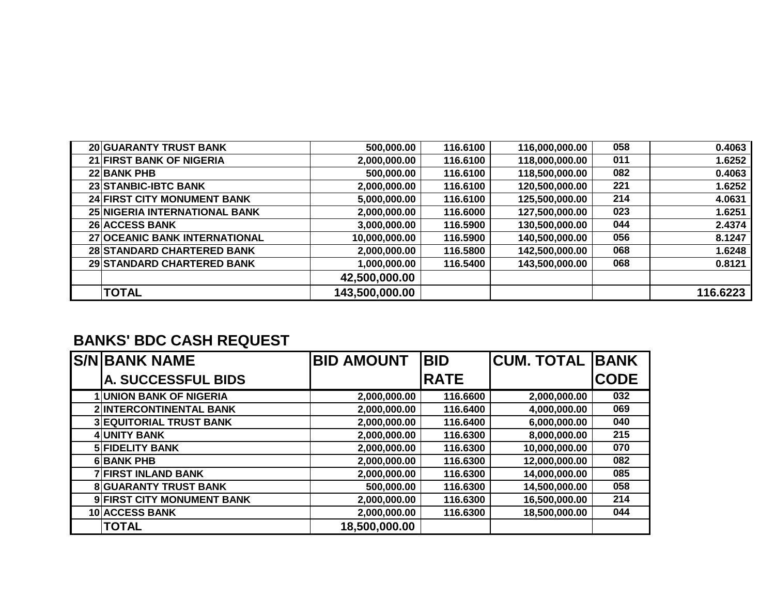|  |  |  | <b>BANKS' BDC CASH REQUEST</b> |
|--|--|--|--------------------------------|
|--|--|--|--------------------------------|

| <b>S/N BANK NAME</b>           | <b>BID AMOUNT</b> | <b>BID</b>  | <b>CUM. TOTAL BAAK</b> |             |
|--------------------------------|-------------------|-------------|------------------------|-------------|
| <b>A. SUCCESSFUL BIDS</b>      |                   | <b>RATE</b> |                        | <b>CODE</b> |
| <b>UNION BANK OF NIGERIA</b>   | 2,000,000.00      | 116.6600    | 2,000,000.00           | 032         |
| 2 INTERCONTINENTAL BANK        | 2,000,000.00      | 116.6400    | 4,000,000.00           | 069         |
| <b>3 EQUITORIAL TRUST BANK</b> | 2,000,000.00      | 116.6400    | 6,000,000.00           | 040         |
| 4 UNITY BANK                   | 2,000,000.00      | 116.6300    | 8,000,000.00           | 215         |
| <b>5 FIDELITY BANK</b>         | 2,000,000.00      | 116.6300    | 10,000,000.00          | 070         |
| <b>6BANK PHB</b>               | 2,000,000.00      | 116.6300    | 12,000,000.00          | 082         |
| 7 FIRST INLAND BANK            | 2,000,000.00      | 116.6300    | 14,000,000.00          | 085         |
| <b>8 GUARANTY TRUST BANK</b>   | 500,000.00        | 116.6300    | 14,500,000.00          | 058         |
| 9 FIRST CITY MONUMENT BANK     | 2,000,000.00      | 116.6300    | 16,500,000.00          | 214         |
| 10 ACCESS BANK                 | 2,000,000.00      | 116.6300    | 18,500,000.00          | 044         |
| <b>TOTAL</b>                   | 18,500,000.00     |             |                        |             |

| <b>20 GUARANTY TRUST BANK</b>        | 500,000.00     | 116.6100 | 116,000,000.00 | 058 | 0.4063   |
|--------------------------------------|----------------|----------|----------------|-----|----------|
| 21 FIRST BANK OF NIGERIA             | 2,000,000.00   | 116.6100 | 118,000,000.00 | 011 | 1.6252   |
| <b>22 BANK PHB</b>                   | 500,000.00     | 116.6100 | 118,500,000.00 | 082 | 0.4063   |
| 23 STANBIC-IBTC BANK                 | 2,000,000.00   | 116.6100 | 120,500,000.00 | 221 | 1.6252   |
| <b>24 FIRST CITY MONUMENT BANK</b>   | 5,000,000.00   | 116.6100 | 125,500,000.00 | 214 | 4.0631   |
| <b>25 NIGERIA INTERNATIONAL BANK</b> | 2,000,000.00   | 116.6000 | 127,500,000.00 | 023 | 1.6251   |
| <b>26 ACCESS BANK</b>                | 3,000,000.00   | 116.5900 | 130,500,000.00 | 044 | 2.4374   |
| 27 OCEANIC BANK INTERNATIONAL        | 10,000,000.00  | 116.5900 | 140,500,000.00 | 056 | 8.1247   |
| 28 STANDARD CHARTERED BANK           | 2,000,000.00   | 116.5800 | 142,500,000.00 | 068 | 1.6248   |
| 29 STANDARD CHARTERED BANK           | 1,000,000.00   | 116.5400 | 143,500,000.00 | 068 | 0.8121   |
|                                      | 42,500,000.00  |          |                |     |          |
| <b>TOTAL</b>                         | 143,500,000.00 |          |                |     | 116.6223 |